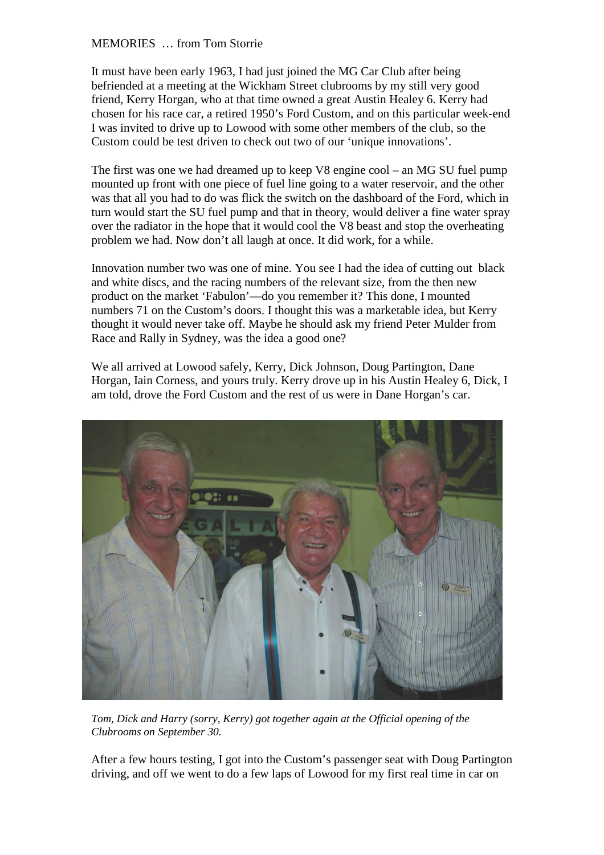MEMORIES … from Tom Storrie

It must have been early 1963, I had just joined the MG Car Club after being befriended at a meeting at the Wickham Street clubrooms by my still very good friend, Kerry Horgan, who at that time owned a great Austin Healey 6. Kerry had chosen for his race car, a retired 1950's Ford Custom, and on this particular week-end I was invited to drive up to Lowood with some other members of the club, so the Custom could be test driven to check out two of our 'unique innovations'.

The first was one we had dreamed up to keep V8 engine cool – an MG SU fuel pump mounted up front with one piece of fuel line going to a water reservoir, and the other was that all you had to do was flick the switch on the dashboard of the Ford, which in turn would start the SU fuel pump and that in theory, would deliver a fine water spray over the radiator in the hope that it would cool the V8 beast and stop the overheating problem we had. Now don't all laugh at once. It did work, for a while.

Innovation number two was one of mine. You see I had the idea of cutting out black and white discs, and the racing numbers of the relevant size, from the then new product on the market 'Fabulon'—do you remember it? This done, I mounted numbers 71 on the Custom's doors. I thought this was a marketable idea, but Kerry thought it would never take off. Maybe he should ask my friend Peter Mulder from Race and Rally in Sydney, was the idea a good one?

We all arrived at Lowood safely, Kerry, Dick Johnson, Doug Partington, Dane Horgan, Iain Corness, and yours truly. Kerry drove up in his Austin Healey 6, Dick, I am told, drove the Ford Custom and the rest of us were in Dane Horgan's car.



*Tom, Dick and Harry (sorry, Kerry) got together again at the Official opening of the Clubrooms on September 30.*

After a few hours testing, I got into the Custom's passenger seat with Doug Partington driving, and off we went to do a few laps of Lowood for my first real time in car on